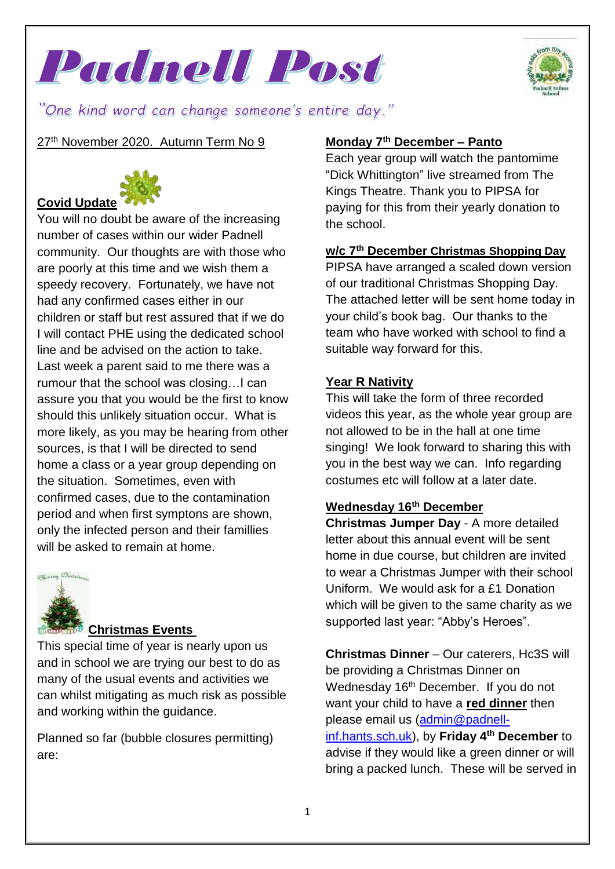



"One kind word can change someone's entire day."

27<sup>th</sup> November 2020. Autumn Term No 9



You will no doubt be aware of the increasing number of cases within our wider Padnell community. Our thoughts are with those who are poorly at this time and we wish them a speedy recovery. Fortunately, we have not had any confirmed cases either in our children or staff but rest assured that if we do I will contact PHE using the dedicated school line and be advised on the action to take. Last week a parent said to me there was a rumour that the school was closing…I can assure you that you would be the first to know should this unlikely situation occur. What is more likely, as you may be hearing from other sources, is that I will be directed to send home a class or a year group depending on the situation. Sometimes, even with confirmed cases, due to the contamination period and when first symptons are shown, only the infected person and their famillies will be asked to remain at home.



### **Christmas Events**

This special time of year is nearly upon us and in school we are trying our best to do as many of the usual events and activities we can whilst mitigating as much risk as possible and working within the guidance.

Planned so far (bubble closures permitting) are:

### **Monday 7th December – Panto**

Each year group will watch the pantomime "Dick Whittington" live streamed from The Kings Theatre. Thank you to PIPSA for paying for this from their yearly donation to the school.

### **w/c 7th December Christmas Shopping Day**

PIPSA have arranged a scaled down version of our traditional Christmas Shopping Day. The attached letter will be sent home today in your child's book bag. Our thanks to the team who have worked with school to find a suitable way forward for this.

### **Year R Nativity**

This will take the form of three recorded videos this year, as the whole year group are not allowed to be in the hall at one time singing! We look forward to sharing this with you in the best way we can. Info regarding costumes etc will follow at a later date.

### **Wednesday 16th December**

**Christmas Jumper Day** - A more detailed letter about this annual event will be sent home in due course, but children are invited to wear a Christmas Jumper with their school Uniform. We would ask for a £1 Donation which will be given to the same charity as we supported last year: "Abby's Heroes".

**Christmas Dinner** – Our caterers, Hc3S will be providing a Christmas Dinner on Wednesday 16<sup>th</sup> December. If you do not want your child to have a **red dinner** then please email us [\(admin@padnell](mailto:admin@padnell-inf.hants.sch.uk)[inf.hants.sch.uk\)](mailto:admin@padnell-inf.hants.sch.uk), by **Friday 4th December** to advise if they would like a green dinner or will bring a packed lunch. These will be served in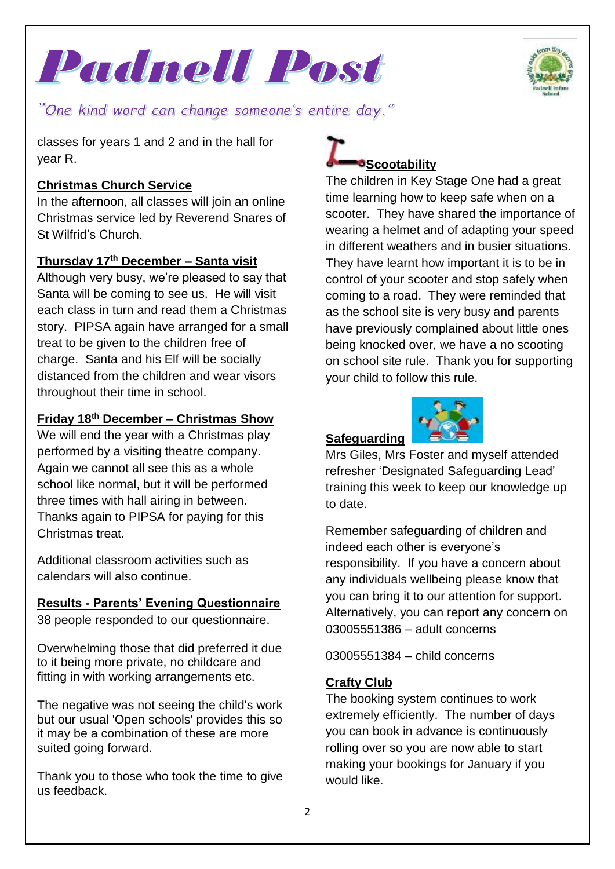Padnell Post



"One kind word can change someone's entire day."

classes for years 1 and 2 and in the hall for year R.

### **Christmas Church Service**

In the afternoon, all classes will join an online Christmas service led by Reverend Snares of St Wilfrid's Church.

### **Thursday 17th December – Santa visit**

Although very busy, we're pleased to say that Santa will be coming to see us. He will visit each class in turn and read them a Christmas story. PIPSA again have arranged for a small treat to be given to the children free of charge. Santa and his Elf will be socially distanced from the children and wear visors throughout their time in school.

### **Friday 18th December – Christmas Show**

We will end the year with a Christmas play performed by a visiting theatre company. Again we cannot all see this as a whole school like normal, but it will be performed three times with hall airing in between. Thanks again to PIPSA for paying for this Christmas treat.

Additional classroom activities such as calendars will also continue.

## **Results - Parents' Evening Questionnaire**

38 people responded to our questionnaire.

Overwhelming those that did preferred it due to it being more private, no childcare and fitting in with working arrangements etc.

The negative was not seeing the child's work but our usual 'Open schools' provides this so it may be a combination of these are more suited going forward.

Thank you to those who took the time to give us feedback.

# **Scootability**

The children in Key Stage One had a great time learning how to keep safe when on a scooter. They have shared the importance of wearing a helmet and of adapting your speed in different weathers and in busier situations. They have learnt how important it is to be in control of your scooter and stop safely when coming to a road. They were reminded that as the school site is very busy and parents have previously complained about little ones being knocked over, we have a no scooting on school site rule. Thank you for supporting your child to follow this rule.

### **Safeguarding**



Mrs Giles, Mrs Foster and myself attended refresher 'Designated Safeguarding Lead' training this week to keep our knowledge up to date.

Remember safeguarding of children and indeed each other is everyone's responsibility. If you have a concern about any individuals wellbeing please know that you can bring it to our attention for support. Alternatively, you can report any concern on 03005551386 – adult concerns

03005551384 – child concerns

### **Crafty Club**

The booking system continues to work extremely efficiently. The number of days you can book in advance is continuously rolling over so you are now able to start making your bookings for January if you would like.